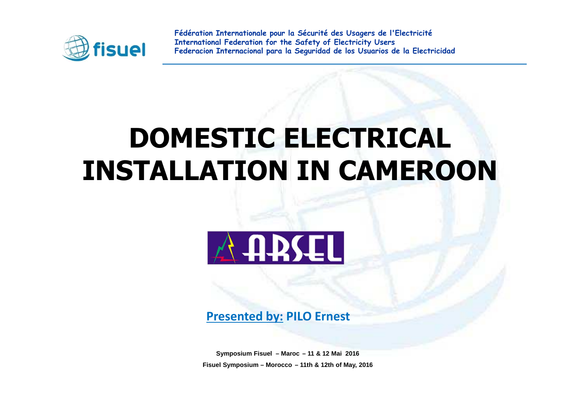

## **DOMESTIC ELECTRICAL INSTALLATION IN CAMEROON**



**Presented by: PILO Ernest**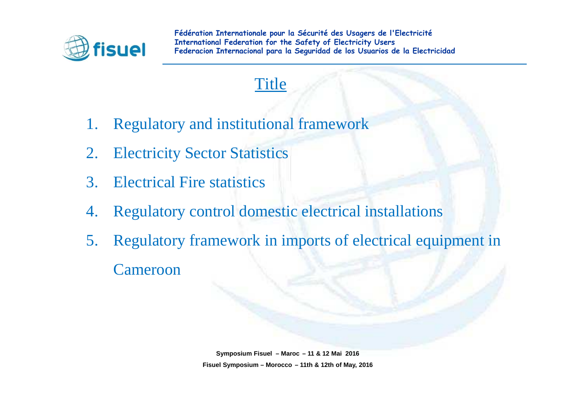

#### **Title**

- 1. Regulatory and institutional framework
- 2. Electricity Sector Statistics
- 3. Electrical Fire statistics
- 4. Regulatory control domestic electrical installations
- 5. Regulatory framework in imports of electrical equipment inCameroon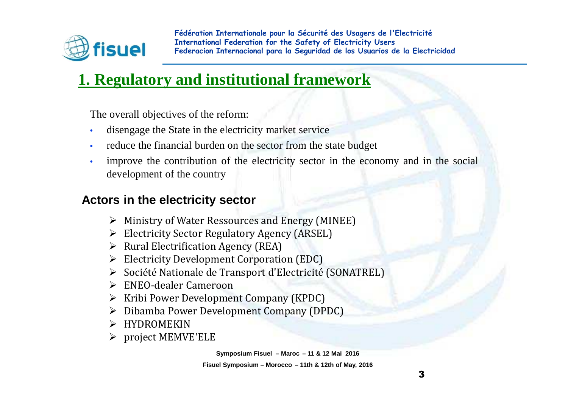

## **1. Regulatory and institutional framework**

The overall objectives of the reform:

- •disengage the State in the electricity market service
- •reduce the financial burden on the sector from the state budget
- • improve the contribution of the electricity sector in the economy and in the socialdevelopment of the country

#### **Actors in the electricity sector**

- ➤ Ministry of Water Ressources and Energy (MINEE)
- Electricity Sector Regulatory Agency (ARSEL)
- $\blacktriangleright$ Rural Electrification Agency (REA)
- Electricity Development Corporation (EDC)
- Société Nationale de Transport d'Electricité (SONATREL)
- ENEO-dealer Cameroon<br>Natibi Deven Developme
- Kribi Power Development Company (KPDC)
- > Dibamba Power Development Company (DPDC)
- $\triangleright$  HYDROMEKIN
- project MEMVE'ELE

**Symposium Fisuel – Maroc – 11 & 12 Mai 2016**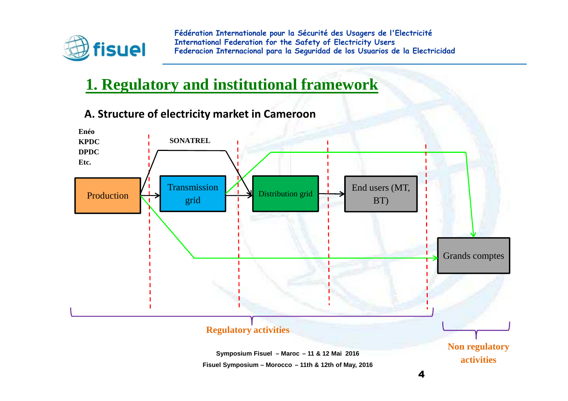

## **1. Regulatory and institutional framework**



**A. Structure of electricity market in Cameroon**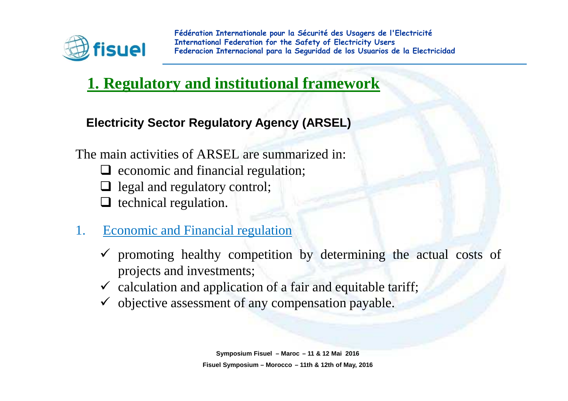

## **1. Regulatory and institutional framework**

#### **Electricity Sector Regulatory Agency (ARSEL)**

The main activities of ARSEL are summarized in:Q economic and financial regulation;  $\Box$  legal and regulatory control; □ technical regulation.

- 1. Economic and Financial regulation
	- $\checkmark$  promoting healthy competition by determining the actual costs of projects and investments;
	- $\checkmark$  calculation and application of a fair and equitable tariff;
	- $\checkmark$  objective assessment of any compensation payable.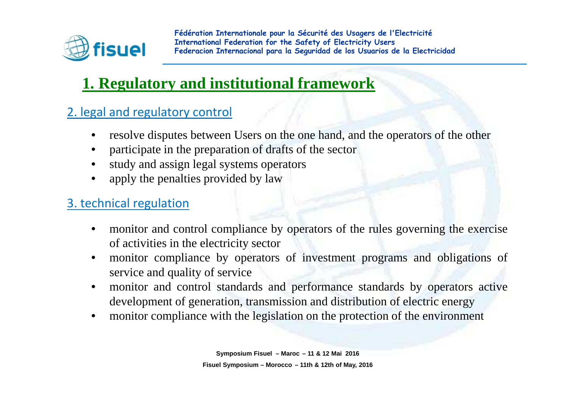

## **1. Regulatory and institutional framework**

#### 2. legal and regulatory control

- •resolve disputes between Users on the one hand, and the operators of the other
- •participate in the preparation of drafts of the sector
- •study and assign legal systems operators
- •apply the penalties provided by law

#### 3. technical regulation

- • monitor and control compliance by operators of the rules governing the exerciseof activities in the electricity sector
- monitor compliance by operators of investment programs and obligations of •service and quality of service
- monitor and control standards and performance standards by operators active $\bullet$ development of generation, transmission and distribution of electric energy
- monitor compliance with the legislation on the protection of the environment  $\bullet$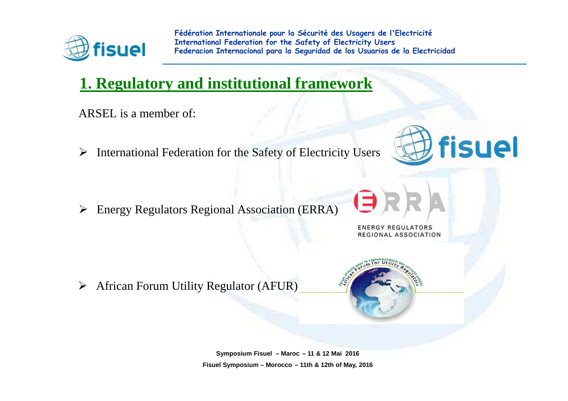

## **1. Regulatory and institutional framework**

ARSEL is <sup>a</sup> member of:

➤ International Federation for the Safety of Electricity Users

 $\blacktriangleright$ Energy Regulators Regional Association (ERRA)



**ENERGY REGULATORS** REGIONAL ASSOCIATION

➤ African Forum Utility Regulator (AFUR)

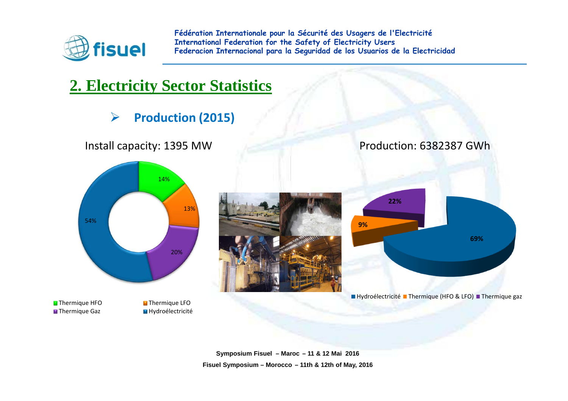

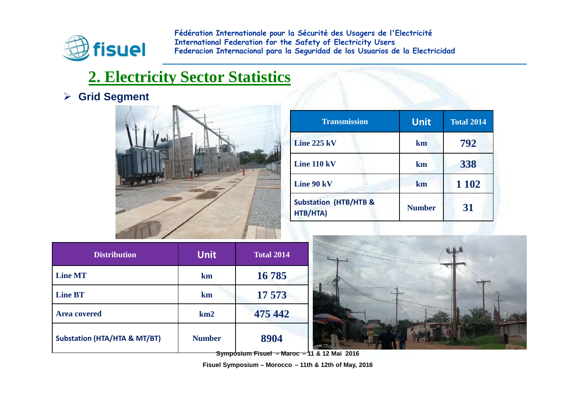

#### **2. Electricity Sector Statistics**

#### **Grid Segment**



| <b>Transmission</b>                          | <b>Unit</b>   | <b>Total 2014</b> |
|----------------------------------------------|---------------|-------------------|
| Line 225 kV                                  | km            | 792               |
| Line 110 kV                                  | km            | 338               |
| Line 90 kV                                   | km            | 1 1 0 2           |
| <b>Substation (HTB/HTB &amp;</b><br>HTB/HTA) | <b>Number</b> | 31                |

| <b>Distribution</b>                     | <b>Unit</b>     | <b>Total 2014</b> |
|-----------------------------------------|-----------------|-------------------|
| <b>Line MT</b>                          | km              | 16785             |
| <b>Line BT</b>                          | km              | 17 573            |
| <b>Area covered</b>                     | km <sub>2</sub> | 475 442           |
| <b>Substation (HTA/HTA &amp; MT/BT)</b> | <b>Number</b>   | 8904              |



**Symposium Fisuel – Maroc – 11 & 12 Mai 2016**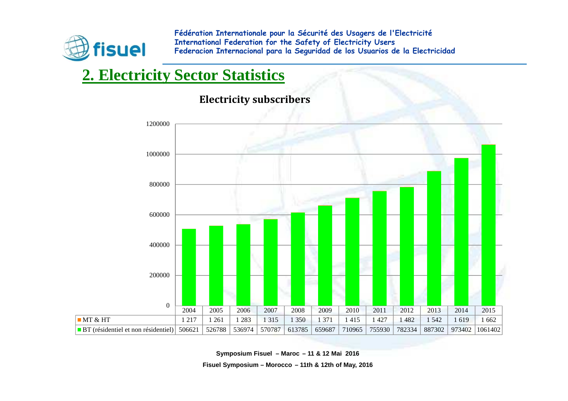

## **2. Electricity Sector Statistics**



**Electricity subscribers**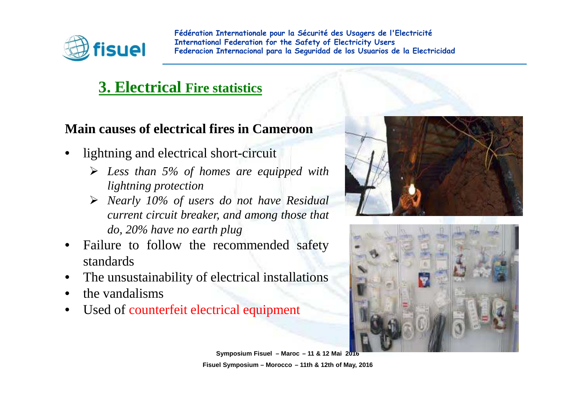

#### **3. Electrical Fire statistics**

#### **Main causes of electrical fires in Cameroon**

- • lightning and electrical short-circuit
	- *Less than 5% of homes are equipped with lightning protection*
	- *Nearly 10% of users do not have Residual current circuit breaker, and among those thatdo, 20% have no earth <sup>p</sup>lug*
- Failure to follow the recommended safety•standards
- The unsustainability of electrical installations•
- $\bullet$ the vandalisms
- $\bullet$ Used of counterfeit electrical equipment



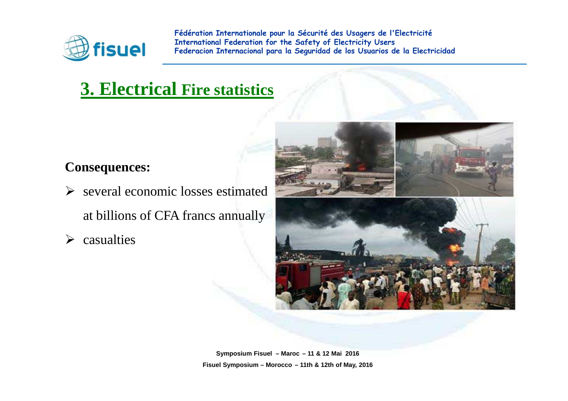

## **3. Electrical Fire statistics**

#### **Consequences:**

- $\triangleright$  several economic losses estimated at billions of CFA francs annually
- $\blacktriangleright$ casualties

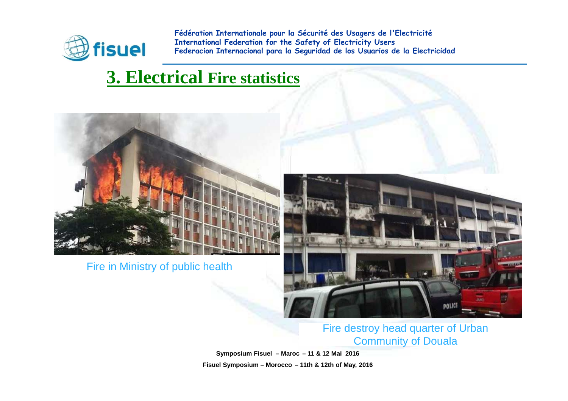

## **3. Electrical Fire statistics**



Fire in Ministry of public health



#### Fire destroy head quarter of Urban Community of Douala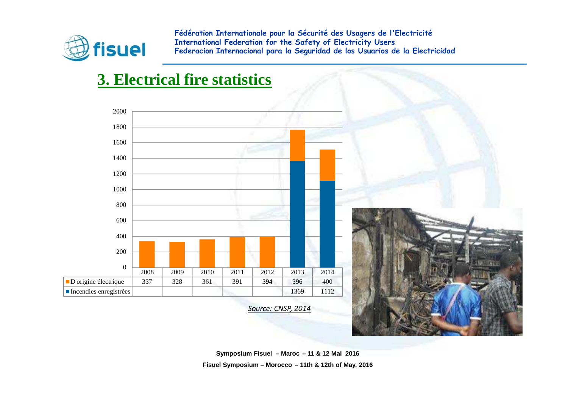

#### **3. Electrical fire statistics**

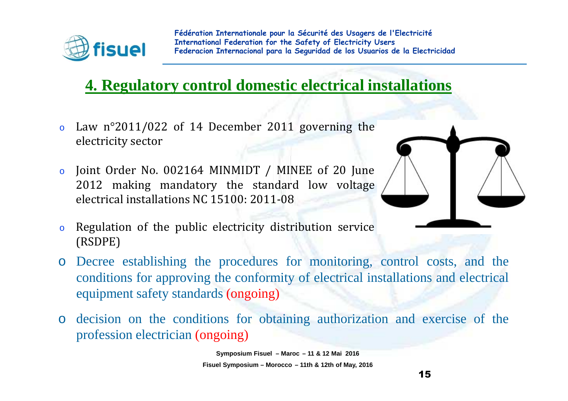

#### **4. Regulatory control domestic electrical installations**

- o Law <sup>n</sup>°2011/022 of <sup>14</sup> December <sup>2011</sup> governing the electricity sector
- o Joint Order No. <sup>002164</sup> MINMIDT / MINEE of <sup>20</sup> June <sup>2012</sup> making mandatory the standard low voltage electrical installations NC 15100: 2011-08



- o Regulation of the public electricity distribution service (RSDPE)
- o Decree establishing the procedures for monitoring, control costs, and the conditions for approving the conformity of electrical installations and electricalequipment safety standards (ongoing)
- o decision on the conditions for obtaining authorization and exercise of the profession electrician (ongoing)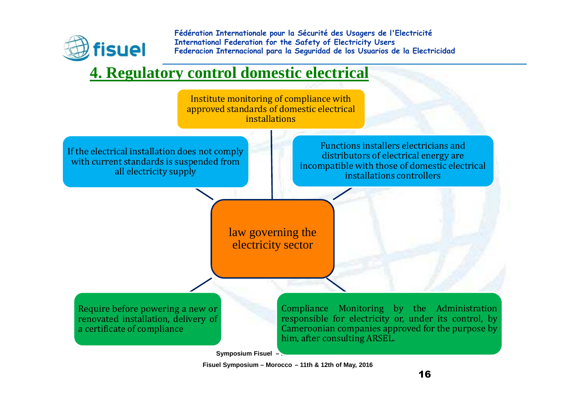

#### **4. Regulatory control domestic electrical**

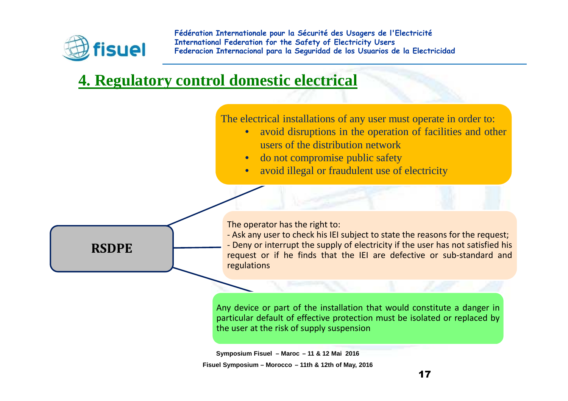

#### **4. Regulatory control domestic electrical**

The electrical installations of any user must operate in order to:

- $\bullet$  avoid disruptions in the operation of facilities and other users of the distribution network
- do not compromise public safety•
- avoid illegal or fraudulent use of electricity $\bullet$



Any device or part of the installation that would constitute <sup>a</sup> danger in particular default of effective protection must be isolated or replaced by the user at the risk of supply suspension

**Symposium Fisuel – Maroc – 11 & 12 Mai 2016**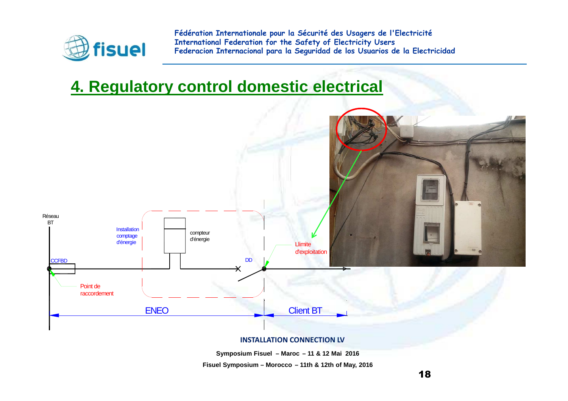

## **4. Regulatory control domestic electrical**



#### **INSTALLATION CONNECTION LV**

**Symposium Fisuel – Maroc – 11 & 12 Mai 2016**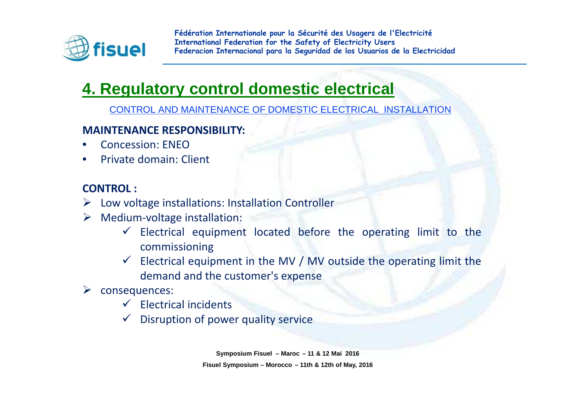

## **4. Regulatory control domestic electrical**

CONTROL AND MAINTENANCE OF DOMESTIC ELECTRICAL INSTALLATION

#### **MAINTENANCE RESPONSIBILITY:**

- •Concession: ENEO
- Private domain: Client •

#### **CONTROL :**

- $\triangleright$  Low voltage installations: Installation Controller
- Medium-voltage installation:
	- $\checkmark$  Electrical equipment located before the operating limit to the commissioning
	- Electrical equipment in the MV / MV outside the operating limit the  $\frac{1}{2}$ demand and the customer's expense
- $\triangleright$  consequences:
	- $\checkmark$  Electrical incidents
	- $\checkmark$  Disruption of power quality service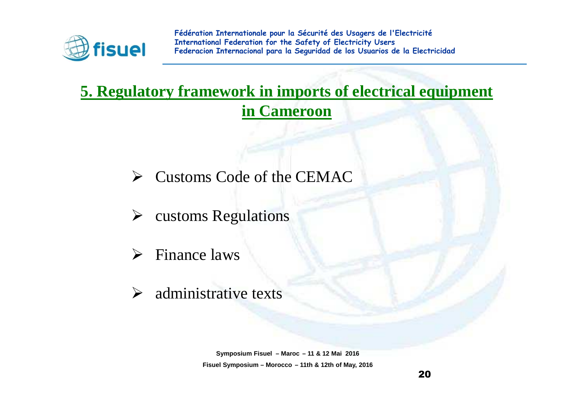

## **5. Regulatory framework in imports of electrical equipment in Cameroon**

- Customs Code of the CEMAC
- customs Regulations
- $\triangleright$  Finance laws
- $\blacktriangleright$ administrative texts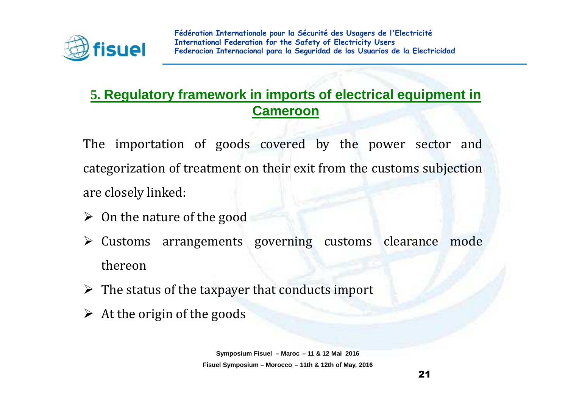

#### **5. Regulatory framework in imports of electrical equipment in Cameroon**

The importation of goods covered by the power sector and categorization of treatment on their exit from the customs subjection are closely linked:

- $\triangleright$  On the nature of the good
- $\triangleright$  Customs arrangements governing customs clearance mode thereon
- $\triangleright$  The status of the taxpayer that conducts import
- $\triangleright$  At the origin of the goods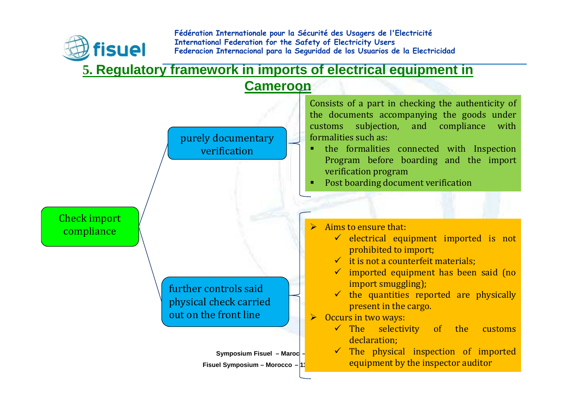

#### **5. Regulatory framework in imports of electrical equipment in**